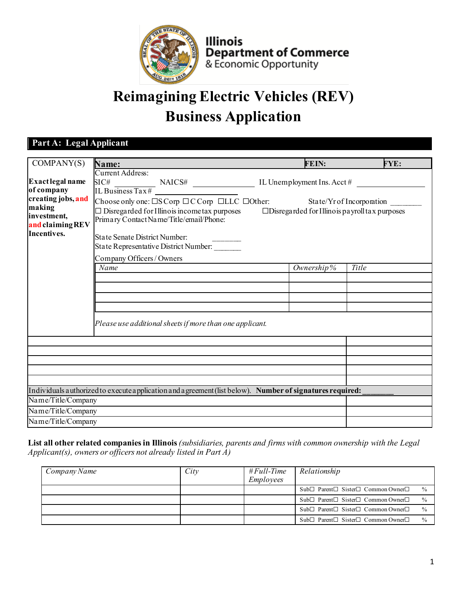

**Illinois Department of Commerce**<br>& Economic Opportunity

# **Reimagining Electric Vehicles (REV) Business Application**

# **Part A: Legal Applicant**

| COMPANY(S)         | Name:                                                                                                         | <b>FEIN:</b> | <b>FYE:</b> |  |  |  |
|--------------------|---------------------------------------------------------------------------------------------------------------|--------------|-------------|--|--|--|
|                    | Current Address:                                                                                              |              |             |  |  |  |
| Exact legal name   |                                                                                                               |              |             |  |  |  |
| of company         | $SLCH$ MAICS# $ILBuss Tax#$ IL Unemployment Ins. Acct#                                                        |              |             |  |  |  |
| creating jobs, and | Choose only one: $\square$ S Corp $\square$ C Corp $\square$ LLC $\square$ Other: State/Yr of Incorporation   |              |             |  |  |  |
| making             | $\Box$ Disregarded for Illinois incometax purposes<br>$\square$ Disregarded for Illinois payroll tax purposes |              |             |  |  |  |
| investment,        | Primary Contact Name/Title/email/Phone:                                                                       |              |             |  |  |  |
| and claiming REV   |                                                                                                               |              |             |  |  |  |
| Incentives.        | <b>State Senate District Number:</b>                                                                          |              |             |  |  |  |
|                    | State Representative District Number:                                                                         |              |             |  |  |  |
|                    | Company Officers / Owners                                                                                     |              |             |  |  |  |
|                    | Name                                                                                                          | Ownership%   | Title       |  |  |  |
|                    |                                                                                                               |              |             |  |  |  |
|                    |                                                                                                               |              |             |  |  |  |
|                    |                                                                                                               |              |             |  |  |  |
|                    |                                                                                                               |              |             |  |  |  |
|                    |                                                                                                               |              |             |  |  |  |
|                    | Please use additional sheets if more than one applicant.                                                      |              |             |  |  |  |
|                    |                                                                                                               |              |             |  |  |  |
|                    |                                                                                                               |              |             |  |  |  |
|                    |                                                                                                               |              |             |  |  |  |
|                    |                                                                                                               |              |             |  |  |  |
|                    |                                                                                                               |              |             |  |  |  |
|                    |                                                                                                               |              |             |  |  |  |
|                    | Individuals authorized to execute application and a greement (list below). Number of signatures required:     |              |             |  |  |  |
| Name/Title/Company |                                                                                                               |              |             |  |  |  |
| Name/Title/Company |                                                                                                               |              |             |  |  |  |
| Name/Title/Company |                                                                                                               |              |             |  |  |  |

**List all other related companies in Illinois***(subsidiaries, parents and firms with common ownership with the Legal Applicant(s), owners or officers not already listed in Part A)*

| Company Name | City | $#Full-Time$<br>Employees | Relationship                                                                |
|--------------|------|---------------------------|-----------------------------------------------------------------------------|
|              |      |                           | $Sub \Box$ Parent $\Box$ Sister $\Box$ Common Owner $\Box$<br>$\frac{0}{0}$ |
|              |      |                           | $Sub \Box$ Parent $\Box$ Sister $\Box$ Common Owner $\Box$<br>$\frac{0}{6}$ |
|              |      |                           | $\frac{0}{0}$<br>$Sub \Box$ Parent $\Box$ Sister $\Box$ Common Owner $\Box$ |
|              |      |                           | $Sub \Box$ Parent $\Box$ Sister $\Box$ Common Owner $\Box$<br>$\frac{0}{0}$ |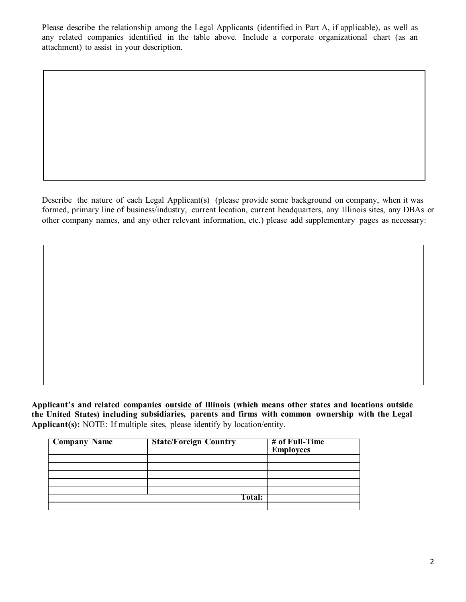Please describe the relationship among the Legal Applicants (identified in Part A, if applicable), as well as any related companies identified in the table above. Include a corporate organizational chart (as an attachment) to assist in your description.

Describe the nature of each Legal Applicant(s) (please provide some background on company, when it was formed, primary line of business/industry, current location, current headquarters, any Illinois sites, any DBAs or other company names, and any other relevant information, etc.) please add supplementary pages as necessary:

**Applicant's and related companies outside of Illinois (which means other states and locations outside the United States) including subsidiaries, parents and firms with common ownership with the Legal Applicant(s):** NOTE: If multiple sites, please identify by location/entity.

| <b>Company Name</b> | <b>State/Foreign Country</b> | # of Full-Time<br><b>Employees</b> |
|---------------------|------------------------------|------------------------------------|
|                     |                              |                                    |
|                     |                              |                                    |
|                     |                              |                                    |
|                     |                              |                                    |
|                     |                              |                                    |
|                     | Total:                       |                                    |
|                     |                              |                                    |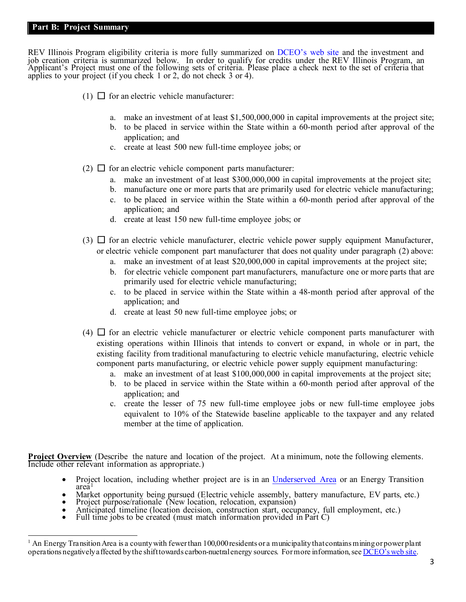#### **Part B: Project Summary**

REV Illinois Program eligibility criteria is more fully summarized on [DCEO's web site](https://www2.illinois.gov/dceo/businesshelp/REV/Pages/default.aspx) and the investment and job creation criteria is summarized below. In order to qualify for credits under the REV Illinois Program, an<br>Applicant's Project must one of the following sets of criteria. Please place a check next to the set of criteria applies to your project (if you check 1 or 2, do not check 3 or 4).

- (1)  $\Box$  for an electric vehicle manufacturer:
	- a. make an investment of at least \$1,500,000,000 in capital improvements at the project site;
	- b. to be placed in service within the State within a 60-month period after approval of the application; and
	- c. create at least 500 new full-time employee jobs; or
- (2)  $\Box$  for an electric vehicle component parts manufacturer:
	- a. make an investment of at least \$300,000,000 in capital improvements at the project site;
	- b. manufacture one or more parts that are primarily used for electric vehicle manufacturing;
	- c. to be placed in service within the State within a 60-month period after approval of the application; and
	- d. create at least 150 new full-time employee jobs; or
- (3)  $\Box$  for an electric vehicle manufacturer, electric vehicle power supply equipment Manufacturer, or electric vehicle component part manufacturer that does not quality under paragraph (2) above:
	- a. make an investment of at least \$20,000,000 in capital improvements at the project site;
	- b. for electric vehicle component part manufacturers, manufacture one or more parts that are primarily used for electric vehicle manufacturing;
	- c. to be placed in service within the State within a 48-month period after approval of the application; and
	- d. create at least 50 new full-time employee jobs; or
- $(4)$   $\Box$  for an electric vehicle manufacturer or electric vehicle component parts manufacturer with existing operations within Illinois that intends to convert or expand, in whole or in part, the existing facility from traditional manufacturing to electric vehicle manufacturing, electric vehicle component parts manufacturing, or electric vehicle power supply equipment manufacturing:
	- a. make an investment of at least \$100,000,000 in capital improvements at the project site;
	- b. to be placed in service within the State within a 60-month period after approval of the application; and
	- c. create the lesser of 75 new full-time employee jobs or new full-time employee jobs equivalent to 10% of the Statewide baseline applicable to the taxpayer and any related member at the time of application.

**Project Overview** (Describe the nature and location of the project. At a minimum, note the following elements. Include other relevant information as appropriate.)

- Project location, including whether project are is in an [Underserved Area](https://www2.illinois.gov/dceo/ExpandRelocate/Incentives/Pages/UnderservedAreas.aspx) or an Energy Transition area<sup>[1](#page-2-0)</sup>
- Market opportunity being pursued (Electric vehicle assembly, battery manufacture, EV parts, etc.)<br>• Project purpose/rationale (New location, relocation, expansion)<br>• Anticipated timeline (location decision, construction
- 
- 
- 

<span id="page-2-0"></span> $1$  An Energy Transition Area is a county with fewer than 100,000 residents or a municipality that contains mining or power plant operations negatively affected by the shift towards carbon-nuetral energy sources. For more information, se[e DCEO's web site.](https://www2.illinois.gov/dceo/businesshelp/REV/Pages/Tier2.aspx)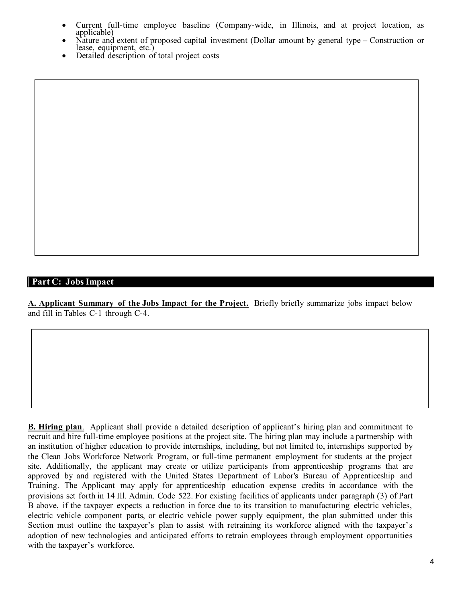- Current full-time employee baseline (Company-wide, in Illinois, and at project location, as
- Nature and extent of proposed capital investment (Dollar amount by general type Construction or lease, equipment, etc.)<br>Detailed description of total project costs
- 

# **Part C: Jobs Impact**

**A. Applicant Summary of the Jobs Impact for the Project.** Briefly briefly summarize jobs impact below and fill in Tables C-1 through C-4.

**B. Hiring plan**. Applicant shall provide a detailed description of applicant's hiring plan and commitment to recruit and hire full-time employee positions at the project site. The hiring plan may include a partnership with an institution of higher education to provide internships, including, but not limited to, internships supported by the Clean Jobs Workforce Network Program, or full-time permanent employment for students at the project site. Additionally, the applicant may create or utilize participants from apprenticeship programs that are approved by and registered with the United States Department of Labor's Bureau of Apprenticeship and Training. The Applicant may apply for apprenticeship education expense credits in accordance with the provisions set forth in 14 Ill. Admin. Code 522. For existing facilities of applicants under paragraph (3) of Part B above, if the taxpayer expects a reduction in force due to its transition to manufacturing electric vehicles, electric vehicle component parts, or electric vehicle power supply equipment, the plan submitted under this Section must outline the taxpayer's plan to assist with retraining its workforce aligned with the taxpayer's adoption of new technologies and anticipated efforts to retrain employees through employment opportunities with the taxpayer's workforce.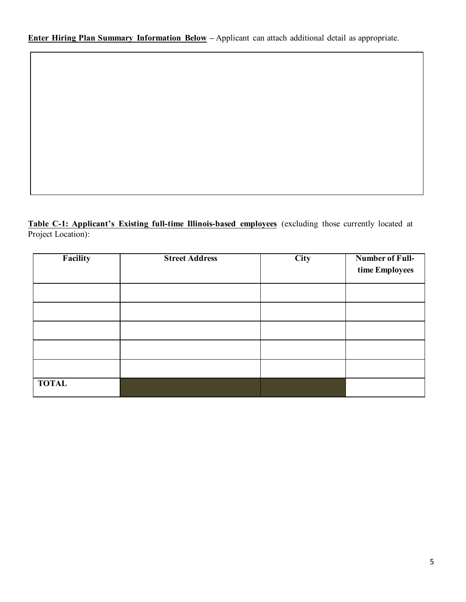**Enter Hiring Plan Summary Information Below –** Applicant can attach additional detail as appropriate.

**Table C-1: Applicant's Existing full-time Illinois-based employees** (excluding those currently located at Project Location):

| Facility     | <b>Street Address</b> | City | <b>Number of Full-</b><br>time Employees |
|--------------|-----------------------|------|------------------------------------------|
|              |                       |      |                                          |
|              |                       |      |                                          |
|              |                       |      |                                          |
|              |                       |      |                                          |
|              |                       |      |                                          |
| <b>TOTAL</b> |                       |      |                                          |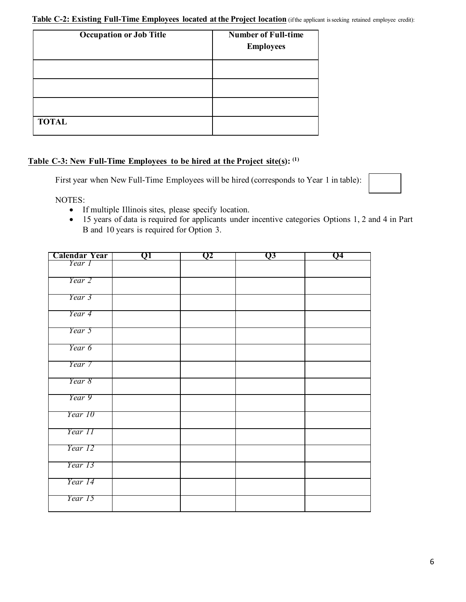#### **Table C-2: Existing Full-Time Employees located at the Project location** (ifthe applicant isseeking retained employee credit):

| <b>Occupation or Job Title</b> | <b>Number of Full-time</b><br><b>Employees</b> |
|--------------------------------|------------------------------------------------|
|                                |                                                |
|                                |                                                |
|                                |                                                |
| <b>TOTAL</b>                   |                                                |

# **Table C-3: New Full-Time Employees to be hired at the Project site(s): (1)**

First year when New Full-Time Employees will be hired (corresponds to Year 1 in table):

NOTES:

- If multiple Illinois sites, please specify location.
- 15 years of data is required for applicants under incentive categories Options 1, 2 and 4 in Part B and 10 years is required for Option 3.

| Calendar Year | QI | Q2 | Q3 | Q4 |
|---------------|----|----|----|----|
| Year 1        |    |    |    |    |
| Year 2        |    |    |    |    |
| Year 3        |    |    |    |    |
|               |    |    |    |    |
| Year 4        |    |    |    |    |
| Year 5        |    |    |    |    |
| Year 6        |    |    |    |    |
| Year 7        |    |    |    |    |
| Year 8        |    |    |    |    |
| Year 9        |    |    |    |    |
| Year 10       |    |    |    |    |
| Year 11       |    |    |    |    |
| Year 12       |    |    |    |    |
| Year 13       |    |    |    |    |
| Year 14       |    |    |    |    |
| Year 15       |    |    |    |    |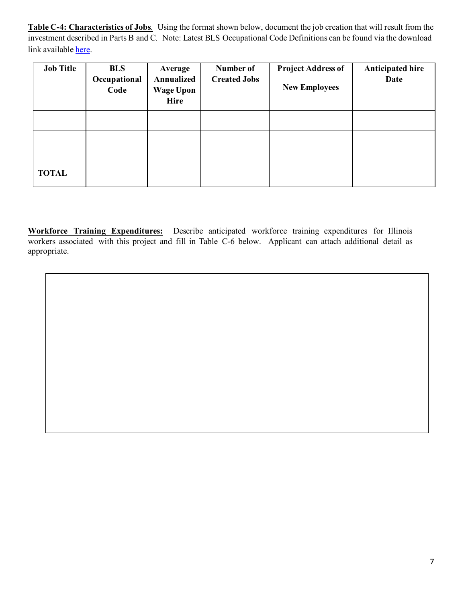**Table C-4: Characteristics of Jobs**. Using the format shown below, document the job creation that will result from the investment described in Parts B and C. Note: Latest BLS Occupational Code Definitions can be found via the download link available [here.](https://www.bls.gov/oes/oes_doc.htm)

| <b>Job Title</b> | <b>BLS</b><br>Occupational<br>Code | Average<br>Annualized<br><b>Wage Upon</b><br>Hire | Number of<br><b>Created Jobs</b> | <b>Project Address of</b><br><b>New Employees</b> | <b>Anticipated hire</b><br>Date |
|------------------|------------------------------------|---------------------------------------------------|----------------------------------|---------------------------------------------------|---------------------------------|
|                  |                                    |                                                   |                                  |                                                   |                                 |
|                  |                                    |                                                   |                                  |                                                   |                                 |
|                  |                                    |                                                   |                                  |                                                   |                                 |
| <b>TOTAL</b>     |                                    |                                                   |                                  |                                                   |                                 |

**Workforce Training Expenditures:** Describe anticipated workforce training expenditures for Illinois workers associated with this project and fill in Table C-6 below. Applicant can attach additional detail as appropriate.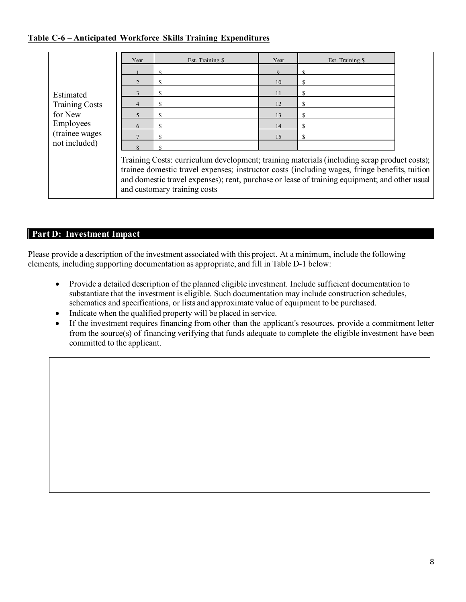# **Table C-6 – Anticipated Workforce Skills Training Expenditures**

|                       | Year                                                                                                                                                                                                                                                                                                                          | Est. Training \$ | Year | Est. Training \$ |  |
|-----------------------|-------------------------------------------------------------------------------------------------------------------------------------------------------------------------------------------------------------------------------------------------------------------------------------------------------------------------------|------------------|------|------------------|--|
|                       |                                                                                                                                                                                                                                                                                                                               |                  |      |                  |  |
|                       |                                                                                                                                                                                                                                                                                                                               |                  | 10   |                  |  |
| Estimated             |                                                                                                                                                                                                                                                                                                                               |                  |      |                  |  |
| <b>Training Costs</b> |                                                                                                                                                                                                                                                                                                                               |                  | 12   |                  |  |
| for New               |                                                                                                                                                                                                                                                                                                                               |                  | 13   |                  |  |
| Employees             |                                                                                                                                                                                                                                                                                                                               |                  | 14   |                  |  |
| (trainee wages)       |                                                                                                                                                                                                                                                                                                                               |                  |      |                  |  |
| not included)         |                                                                                                                                                                                                                                                                                                                               |                  |      |                  |  |
|                       | Training Costs: curriculum development; training materials (including scrap product costs);<br>trainee domestic travel expenses; instructor costs (including wages, fringe benefits, tuition<br>and domestic travel expenses); rent, purchase or lease of training equipment; and other usual<br>and customary training costs |                  |      |                  |  |

# **Part D: Investment Impact**

Please provide a description of the investment associated with this project. At a minimum, include the following elements, including supporting documentation as appropriate, and fill in Table D-1 below:

- Provide a detailed description of the planned eligible investment. Include sufficient documentation to substantiate that the investment is eligible. Such documentation may include construction schedules, schematics and specifications, or lists and approximate value of equipment to be purchased.
- Indicate when the qualified property will be placed in service.
- If the investment requires financing from other than the applicant's resources, provide a commitment letter from the source(s) of financing verifying that funds adequate to complete the eligible investment have been committed to the applicant.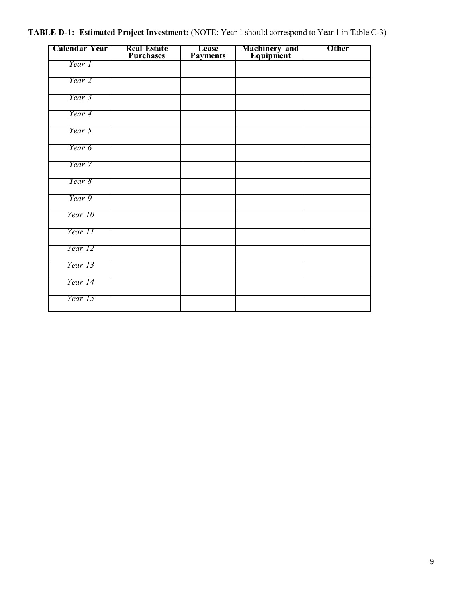# **TABLE D-1: Estimated Project Investment:** (NOTE: Year 1 should correspond to Year 1 in Table C-3)

| <b>Calendar Year</b> | <b>Real Estate</b><br>Purchases | Lease<br><b>Payments</b> | <b>Machinery and<br/>Equipment</b> | <b>Other</b> |
|----------------------|---------------------------------|--------------------------|------------------------------------|--------------|
| Year 1               |                                 |                          |                                    |              |
| Year 2               |                                 |                          |                                    |              |
| Year 3               |                                 |                          |                                    |              |
| Year 4               |                                 |                          |                                    |              |
| Year 5               |                                 |                          |                                    |              |
| Year 6               |                                 |                          |                                    |              |
| Year 7               |                                 |                          |                                    |              |
| Year 8               |                                 |                          |                                    |              |
| Year 9               |                                 |                          |                                    |              |
| Year 10              |                                 |                          |                                    |              |
| Year 11              |                                 |                          |                                    |              |
| Year 12              |                                 |                          |                                    |              |
| Year 13              |                                 |                          |                                    |              |
| Year 14              |                                 |                          |                                    |              |
| Year 15              |                                 |                          |                                    |              |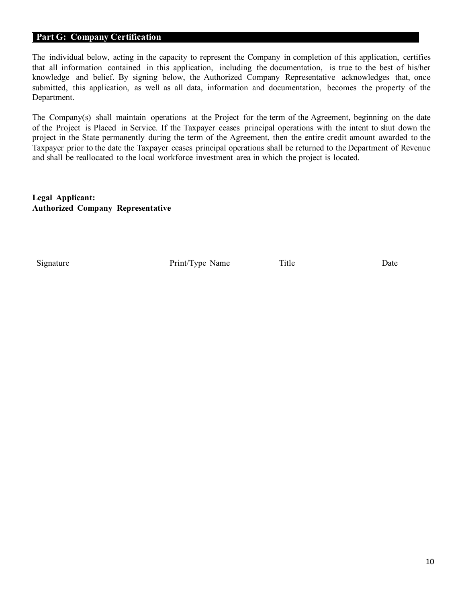#### **Part G: Company Certification**

The individual below, acting in the capacity to represent the Company in completion of this application, certifies that all information contained in this application, including the documentation, is true to the best of his/her knowledge and belief. By signing below, the Authorized Company Representative acknowledges that, once submitted, this application, as well as all data, information and documentation, becomes the property of the Department.

The Company(s) shall maintain operations at the Project for the term of the Agreement, beginning on the date of the Project is Placed in Service. If the Taxpayer ceases principal operations with the intent to shut down the project in the State permanently during the term of the Agreement, then the entire credit amount awarded to the Taxpayer prior to the date the Taxpayer ceases principal operations shall be returned to the Department of Revenue and shall be reallocated to the local workforce investment area in which the project is located.

**Legal Applicant: Authorized Company Representative**

Signature Print/Type Name Title Date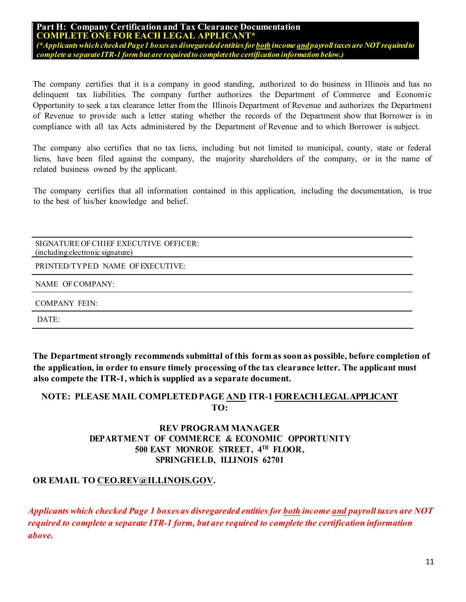**Part H: Company Certification and Tax Clearance Documentation COMPLETE ONE FOR EACH LEGAL APPLICANT\*** *(\*Applicants which checked Page 1 boxes as disregareded entities for bothincome andpayroll taxes are NOT required to complete a separateITR-1 form but are required to complete the certification information below.)*

The company certifies that it is a company in good standing, authorized to do business in Illinois and has no delinquent tax liabilities. The company further authorizes the Department of Commerce and Economic Opportunity to seek a tax clearance letter from the Illinois Department of Revenue and authorizes the Department of Revenue to provide such a letter stating whether the records of the Department show that Borrower is in compliance with all tax Acts administered by the Department of Revenue and to which Borrower is subject.

The company also certifies that no tax liens, including but not limited to municipal, county, state or federal liens, have been filed against the company, the majority shareholders of the company, or in the name of related business owned by the applicant.

The company certifies that all information contained in this application, including the documentation, is true to the best of his/her knowledge and belief.

SIGNATURE OF CHIEF EXECUTIVE OFFICER: (including electronic signature)

PRINTED/TYPED NAME OF EXECUTIVE:

NAME OF COMPANY:

COMPANY FEIN:

DATE:

**The Department strongly recommends submittal of this form as soon as possible, before completion of the application, in order to ensure timely processing of the tax clearance letter. The applicant must also compete the ITR-1, which is supplied as a separate document.**

# **NOTE: PLEASE MAIL COMPLETEDPAGE AND ITR-1 FOREACH LEGAL APPLICANT TO:**

# **REV PROGRAM MANAGER DEPARTMENT OF COMMERCE & ECONOMIC OPPORTUNITY 500 EAST MONROE STREET, 4TH FLOOR, SPRINGFIELD, ILLINOIS 62701**

# **OR EMAIL TO CEO.REV@ILLINOIS.GOV.**

*Applicants which checked Page 1 boxes as disregareded entities for both income and payroll taxes are NOT required to complete a separate ITR-1 form, but are required to complete the certification information above.*